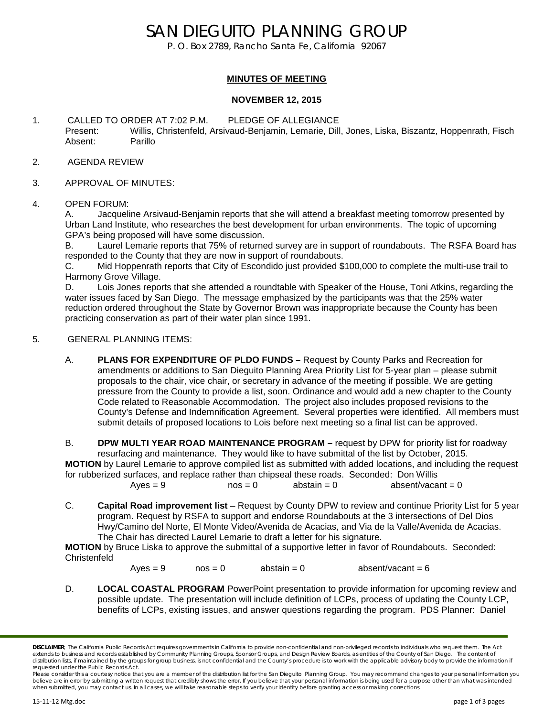# SAN DIEGUITO PLANNING GROUP

P. O. Box 2789, Rancho Santa Fe, California 92067

### **MINUTES OF MEETING**

### **NOVEMBER 12, 2015**

- 1. CALLED TO ORDER AT 7:02 P.M. PLEDGE OF ALLEGIANCE Present: Willis, Christenfeld, Arsivaud-Benjamin, Lemarie, Dill, Jones, Liska, Biszantz, Hoppenrath, Fisch Absent: Parillo
- 2. AGENDA REVIEW
- 3. APPROVAL OF MINUTES:
- 4. OPEN FORUM:

A. Jacqueline Arsivaud-Benjamin reports that she will attend a breakfast meeting tomorrow presented by Urban Land Institute, who researches the best development for urban environments. The topic of upcoming GPA's being proposed will have some discussion.

B. Laurel Lemarie reports that 75% of returned survey are in support of roundabouts. The RSFA Board has responded to the County that they are now in support of roundabouts.

C. Mid Hoppenrath reports that City of Escondido just provided \$100,000 to complete the multi-use trail to Harmony Grove Village.

D. Lois Jones reports that she attended a roundtable with Speaker of the House, Toni Atkins, regarding the water issues faced by San Diego. The message emphasized by the participants was that the 25% water reduction ordered throughout the State by Governor Brown was inappropriate because the County has been practicing conservation as part of their water plan since 1991.

- 5. GENERAL PLANNING ITEMS:
	- A. **PLANS FOR EXPENDITURE OF PLDO FUNDS –** Request by County Parks and Recreation for amendments or additions to San Dieguito Planning Area Priority List for 5-year plan – please submit proposals to the chair, vice chair, or secretary in advance of the meeting if possible. We are getting pressure from the County to provide a list, soon. Ordinance and would add a new chapter to the County Code related to Reasonable Accommodation. The project also includes proposed revisions to the County's Defense and Indemnification Agreement. Several properties were identified. All members must submit details of proposed locations to Lois before next meeting so a final list can be approved.

B. **DPW MULTI YEAR ROAD MAINTENANCE PROGRAM** – request by DPW for priority list for roadway resurfacing and maintenance. They would like to have submittal of the list by October, 2015. **MOTION** by Laurel Lemarie to approve compiled list as submitted with added locations, and including the request for rubberized surfaces, and replace rather than chipseal these roads. Seconded: Don Willis  $Aves = 9$   $nos = 0$  abstain = 0 absent/vacant = 0

C. **Capital Road improvement list** – Request by County DPW to review and continue Priority List for 5 year program. Request by RSFA to support and endorse Roundabouts at the 3 intersections of Del Dios Hwy/Camino del Norte, El Monte Video/Avenida de Acacias, and Via de la Valle/Avenida de Acacias. The Chair has directed Laurel Lemarie to draft a letter for his signature.

**MOTION** by Bruce Liska to approve the submittal of a supportive letter in favor of Roundabouts. Seconded: Christenfeld

 $Ayes = 9$  nos = 0 abstain = 0 absent/vacant = 6

D. **LOCAL COASTAL PROGRAM** PowerPoint presentation to provide information for upcoming review and possible update. The presentation will include definition of LCPs, process of updating the County LCP, benefits of LCPs, existing issues, and answer questions regarding the program. PDS Planner: Daniel

*DISCLAIMER; The California Public Records Act requires governments in California to provide non-confidential and non-privileged records to individuals who request them. The Act*  extends to business and records established by Community Planning Groups, Sponsor Groups, and Design Review Boards, as entities of the County of San Diego. The content of distribution lists, if maintained by the groups for group business, is not confidential and the County's procedure is to work with the applicable advisory body to provide the information if *requested under the Public Records Act.*

Please consider this a courtesy notice that you are a member of the distribution list for the San Dieguito Planning Group. You may recommend changes to your personal information you *believe are in error by submitting a written request that credibly shows the error. If you believe that your personal information is being used for a purpose other than what was intended when submitted, you may contact us. In all cases, we will take reasonable steps to verify your identity before granting access or making corrections.*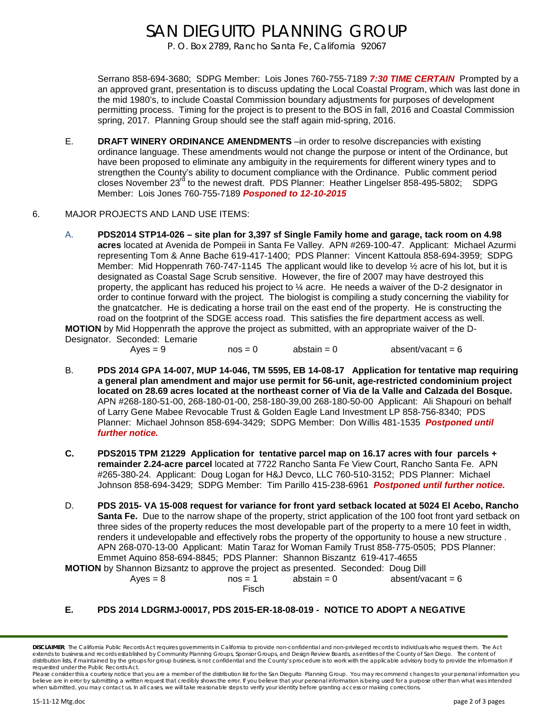# SAN DIEGUITO PLANNING GROUP

P. O. Box 2789, Rancho Santa Fe, California 92067

Serrano 858-694-3680; SDPG Member: Lois Jones 760-755-7189 *7:30 TIME CERTAIN* Prompted by a an approved grant, presentation is to discuss updating the Local Coastal Program, which was last done in the mid 1980's, to include Coastal Commission boundary adjustments for purposes of development permitting process. Timing for the project is to present to the BOS in fall, 2016 and Coastal Commission spring, 2017. Planning Group should see the staff again mid-spring, 2016.

- E. **DRAFT WINERY ORDINANCE AMENDMENTS** –in order to resolve discrepancies with existing ordinance language. These amendments would not change the purpose or intent of the Ordinance, but have been proposed to eliminate any ambiguity in the requirements for different winery types and to strengthen the County's ability to document compliance with the Ordinance. Public comment period closes November 23<sup>rd</sup> to the newest draft. PDS Planner: Heather Lingelser 858-495-5802; SDPG Member: Lois Jones 760-755-7189 *Posponed to 12-10-2015*
- 6. MAJOR PROJECTS AND LAND USE ITEMS:
	- A. **PDS2014 STP14-026 – site plan for 3,397 sf Single Family home and garage, tack room on 4.98 acres** located at Avenida de Pompeii in Santa Fe Valley. APN #269-100-47. Applicant: Michael Azurmi representing Tom & Anne Bache 619-417-1400; PDS Planner: Vincent Kattoula 858-694-3959; SDPG Member: Mid Hoppenrath 760-747-1145 The applicant would like to develop  $\frac{1}{2}$  acre of his lot, but it is designated as Coastal Sage Scrub sensitive. However, the fire of 2007 may have destroyed this property, the applicant has reduced his project to ¼ acre. He needs a waiver of the D-2 designator in order to continue forward with the project. The biologist is compiling a study concerning the viability for the gnatcatcher. He is dedicating a horse trail on the east end of the property. He is constructing the road on the footprint of the SDGE access road. This satisfies the fire department access as well. **MOTION** by Mid Hoppenrath the approve the project as submitted, with an appropriate waiver of the D-

Designator. Seconded: Lemarie

- $Aves = 9$  nos = 0 abstain = 0 absent/vacant = 6
- B. **PDS 2014 GPA 14-007, MUP 14-046, TM 5595, EB 14-08-17 Application for tentative map requiring a general plan amendment and major use permit for 56-unit, age-restricted condominium project located on 28.69 acres located at the northeast corner of Via de la Valle and Calzada del Bosque.**  APN #268-180-51-00, 268-180-01-00, 258-180-39,00 268-180-50-00 Applicant: Ali Shapouri on behalf of Larry Gene Mabee Revocable Trust & Golden Eagle Land Investment LP 858-756-8340; PDS Planner: Michael Johnson 858-694-3429; SDPG Member: Don Willis 481-1535 *Postponed until further notice.*
- **C. PDS2015 TPM 21229 Application for tentative parcel map on 16.17 acres with four parcels + remainder 2.24-acre parcel** located at 7722 Rancho Santa Fe View Court, Rancho Santa Fe. APN #265-380-24. Applicant: Doug Logan for H&J Devco, LLC 760-510-3152; PDS Planner: Michael Johnson 858-694-3429; SDPG Member: Tim Parillo 415-238-6961 *Postponed until further notice.*
- D. **PDS 2015- VA 15-008 request for variance for front yard setback located at 5024 El Acebo, Rancho Santa Fe.** Due to the narrow shape of the property, strict application of the 100 foot front vard setback on three sides of the property reduces the most developable part of the property to a mere 10 feet in width, renders it undevelopable and effectively robs the property of the opportunity to house a new structure . APN 268-070-13-00 Applicant: Matin Taraz for Woman Family Trust 858-775-0505; PDS Planner: Emmet Aquino 858-694-8845; PDS Planner: Shannon Biszantz 619-417-4655

**MOTION** by Shannon Bizsantz to approve the project as presented. Seconded: Doug Dill  $Ayes = 8$  nos = 1 abstain = 0 absent/vacant = 6 Fisch

**E. PDS 2014 LDGRMJ-00017, PDS 2015-ER-18-08-019 - NOTICE TO ADOPT A NEGATIVE** 

*DISCLAIMER; The California Public Records Act requires governments in California to provide non-confidential and non-privileged records to individuals who request them. The Act*  extends to business and records established by Community Planning Groups, Sponsor Groups, and Design Review Boards, as entities of the County of San Diego. The content of distribution lists, if maintained by the groups for group business, is not confidential and the County's procedure is to work with the applicable advisory body to provide the information if *requested under the Public Records Act.*

Please consider this a courtesy notice that you are a member of the distribution list for the San Dieguito Planning Group. You may recommend changes to your personal information you *believe are in error by submitting a written request that credibly shows the error. If you believe that your personal information is being used for a purpose other than what was intended when submitted, you may contact us. In all cases, we will take reasonable steps to verify your identity before granting access or making corrections.*